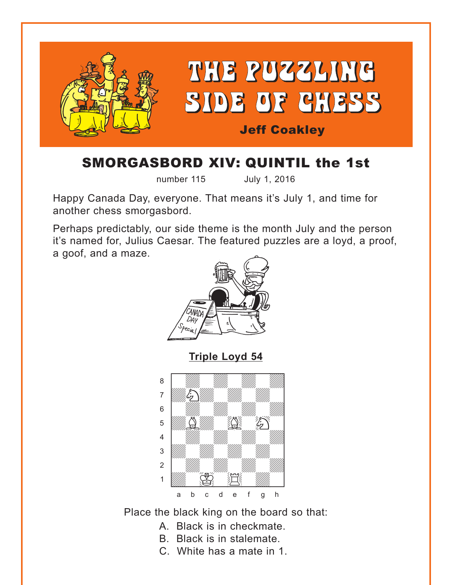<span id="page-0-0"></span>

## SMORGASBORD XIV: QUINTIL the 1st

number 115 July 1, 2016

Happy Canada Day, everyone. That means it's July 1, and time for another chess smorgasbord.

Perhaps predictably, our side theme is the month July and the person it's named for, Julius Caesar. The featured puzzles are a loyd, a proof, a goof, and a maze.



**[Triple Loyd 54](#page-4-0)**



Place the black king on the board so that:

- A. Black is in checkmate.
- B. Black is in stalemate.
- C. White has a mate in 1.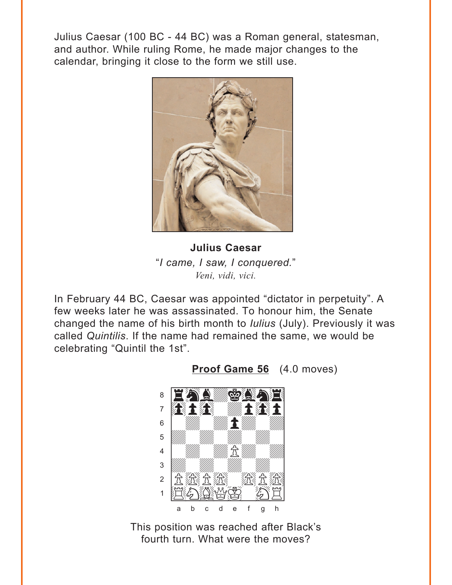<span id="page-1-0"></span>Julius Caesar (100 BC - 44 BC) was a Roman general, statesman, and author. While ruling Rome, he made major changes to the calendar, bringing it close to the form we still use.



**Julius Caesar** "I came, I saw, I conquered." Veni, vidi, vici.

In February 44 BC, Caesar was appointed "dictator in perpetuity". A few weeks later he was assassinated. To honour him, the Senate changed the name of his birth month to *lulius* (July). Previously it was called Quintilis. If the name had remained the same, we would be celebrating "Quintil the 1st".



Proof Game 56 (4.0 moves)

This position was reached after Black's fourth turn. What were the moves?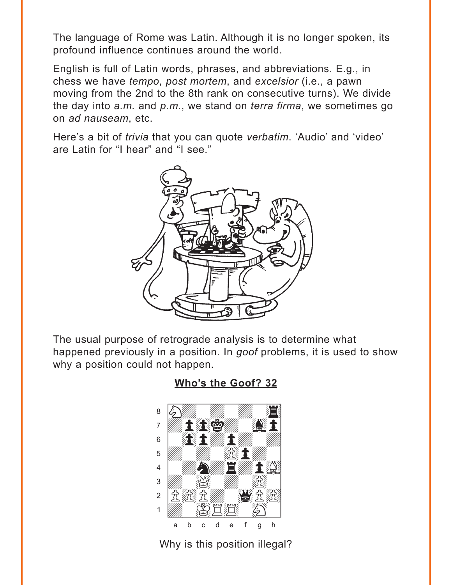<span id="page-2-0"></span>The language of Rome was Latin. Although it is no longer spoken, its profound influence continues around the world.

English is full of Latin words, phrases, and abbreviations. E.g., in chess we have *tempo*, post mortem, and excelsior (i.e., a pawn moving from the 2nd to the 8th rank on consecutive turns). We divide the day into  $a.m.$  and  $p.m.$ , we stand on *terra firma*, we sometimes go on ad nauseam, etc.

Here's a bit of *trivia* that you can quote *verbatim*. 'Audio' and 'video' are Latin for "I hear" and "I see."



The usual purpose of retrograde analysis is to determine what happened previously in a position. In goof problems, it is used to show why a position could not happen.

Who's the Goof? 32



Why is this position illegal?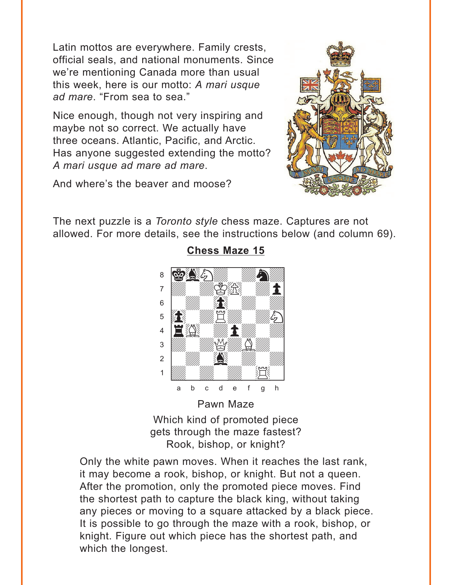<span id="page-3-0"></span>Latin mottos are everywhere. Family crests, official seals, and national monuments. Since we're mentioning Canada more than usual this week, here is our motto: A mari usque ad mare. "From sea to sea."

Nice enough, though not very inspiring and maybe not so correct. We actually have three oceans. Atlantic, Pacific, and Arctic. Has anyone suggested extending the motto? A mari usque ad mare ad mare.

And where's the beaver and moose?



The next puzzle is a Toronto style chess maze. Captures are not allowed. For more details, see the instructions below (and column 69).



#### **Chess Maze 15**

Pawn Maze Which kind of promoted piece gets through the maze fastest? Rook, bishop, or knight?

Only the white pawn moves. When it reaches the last rank, it may become a rook, bishop, or knight. But not a queen. After the promotion, only the promoted piece moves. Find the shortest path to capture the black king, without taking any pieces or moving to a square attacked by a black piece. It is possible to go through the maze with a rook, bishop, or knight. Figure out which piece has the shortest path, and which the longest.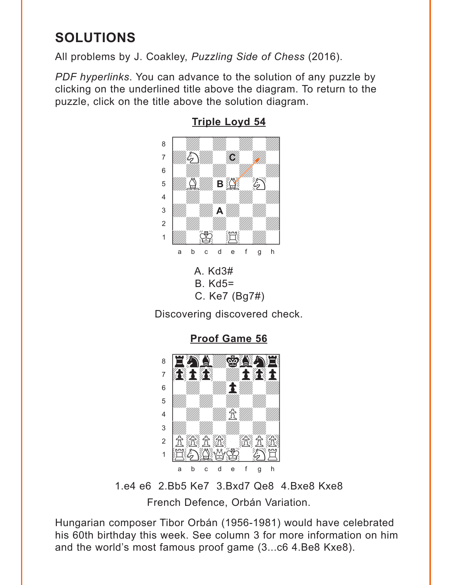# <span id="page-4-0"></span>**SOLUTIONS**

All problems by J. Coakley, Puzzling Side of Chess (2016).

PDF hyperlinks. You can advance to the solution of any puzzle by clicking on the underlined title above the diagram. To return to the puzzle, click on the title above the solution diagram.



**Triple Loyd 54** 

C. Ke7 (Bg7#) Discovering discovered check.

**Proof Game 56** 



1.e4 e6 2.Bb5 Ke7 3.Bxd7 Qe8 4.Bxe8 Kxe8 French Defence, Orbán Variation.

Hungarian composer Tibor Orbán (1956-1981) would have celebrated his 60th birthday this week. See column 3 for more information on him and the world's most famous proof game (3...c6 4.Be8 Kxe8).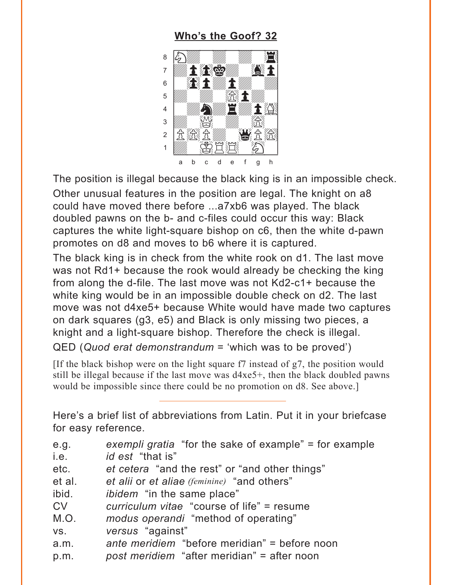### **[Who's the Goof? 32](#page-2-0)**

<span id="page-5-0"></span>

The position is illegal because the black king is in an impossible check. Other unusual features in the position are legal. The knight on a8 could have moved there before ...a7xb6 was played. The black doubled pawns on the b- and c-files could occur this way: Black captures the white light-square bishop on c6, then the white d-pawn promotes on d8 and moves to b6 where it is captured.

The black king is in check from the white rook on d1. The last move was not Rd1+ because the rook would already be checking the king from along the d-file. The last move was not Kd2-c1+ because the white king would be in an impossible double check on d2. The last move was not d4xe5+ because White would have made two captures on dark squares (g3, e5) and Black is only missing two pieces, a knight and a light-square bishop. Therefore the check is illegal. QED (*Quod erat demonstrandum* = 'which was to be proved')

[If the black bishop were on the light square f7 instead of g7, the position would still be illegal because if the last move was d4xe5+, then the black doubled pawns would be impossible since there could be no promotion on d8. See above.]

Here's a brief list of abbreviations from Latin. Put it in your briefcase for easy reference.

| e.g.      | exempli gratia "for the sake of example" = for example |
|-----------|--------------------------------------------------------|
| i.e.      | <i>id est</i> "that is"                                |
| etc.      | et cetera "and the rest" or "and other things"         |
| et al.    | et alii or et aliae (feminine) "and others"            |
| ibid.     | <i>ibidem</i> "in the same place"                      |
| <b>CV</b> | curriculum vitae "course of life" = resume             |
| M.O.      | modus operandi "method of operating"                   |
| VS.       | versus "against"                                       |
| a.m.      | ante meridiem "before meridian" = before noon          |

p.m. *post meridiem* "after meridian" = after noon